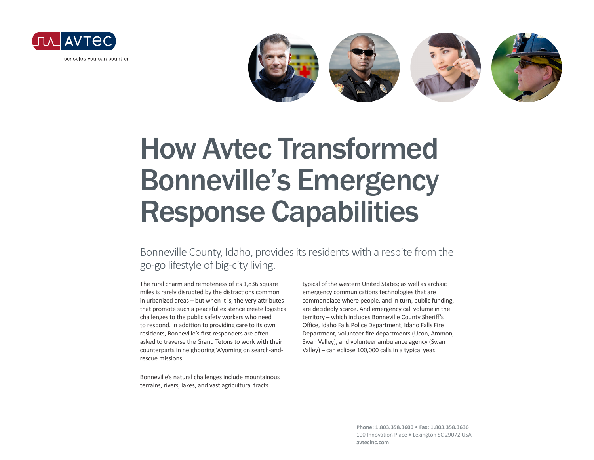



# How Avtec Transformed Bonneville's Emergency Response Capabilities

#### Bonneville County, Idaho, provides its residents with a respite from the go-go lifestyle of big-city living.

The rural charm and remoteness of its 1,836 square miles is rarely disrupted by the distractions common in urbanized areas – but when it is, the very attributes that promote such a peaceful existence create logistical challenges to the public safety workers who need to respond. In addition to providing care to its own residents, Bonneville's first responders are often asked to traverse the Grand Tetons to work with their counterparts in neighboring Wyoming on search-andrescue missions.

Bonneville's natural challenges include mountainous terrains, rivers, lakes, and vast agricultural tracts

typical of the western United States; as well as archaic emergency communications technologies that are commonplace where people, and in turn, public funding, are decidedly scarce. And emergency call volume in the territory – which includes Bonneville County Sheriff's Office, Idaho Falls Police Department, Idaho Falls Fire Department, volunteer fire departments (Ucon, Ammon, Swan Valley), and volunteer ambulance agency (Swan Valley) – can eclipse 100,000 calls in a typical year.

> **Phone: 1.803.358.3600 • Fax: 1.803.358.3636** 100 Innovation Place **•** Lexington SC 29072 USA **avtecinc.com**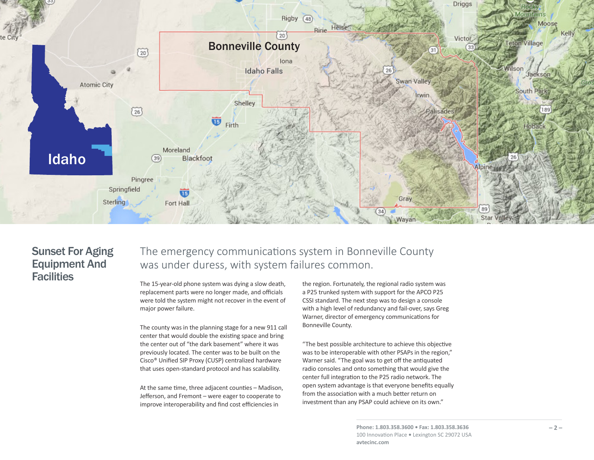

### Sunset For Aging Equipment And **Facilities**

The emergency communications system in Bonneville County was under duress, with system failures common.

The 15-year-old phone system was dying a slow death, replacement parts were no longer made, and officials were told the system might not recover in the event of major power failure.

The county was in the planning stage for a new 911 call center that would double the existing space and bring the center out of "the dark basement" where it was previously located. The center was to be built on the Cisco® Unified SIP Proxy (CUSP) centralized hardware that uses open-standard protocol and has scalability.

At the same time, three adjacent counties – Madison, Jefferson, and Fremont – were eager to cooperate to improve interoperability and find cost efficiencies in

the region. Fortunately, the regional radio system was a P25 trunked system with support for the APCO P25 CSSI standard. The next step was to design a console with a high level of redundancy and fail-over, says Greg Warner, director of emergency communications for Bonneville County.

"The best possible architecture to achieve this objective was to be interoperable with other PSAPs in the region," Warner said. "The goal was to get off the antiquated radio consoles and onto something that would give the center full integration to the P25 radio network. The open system advantage is that everyone benefits equally from the association with a much better return on investment than any PSAP could achieve on its own."

> **Phone: 1.803.358.3600 • Fax: 1.803.358.3636** 100 Innovation Place **•** Lexington SC 29072 USA **avtecinc.com**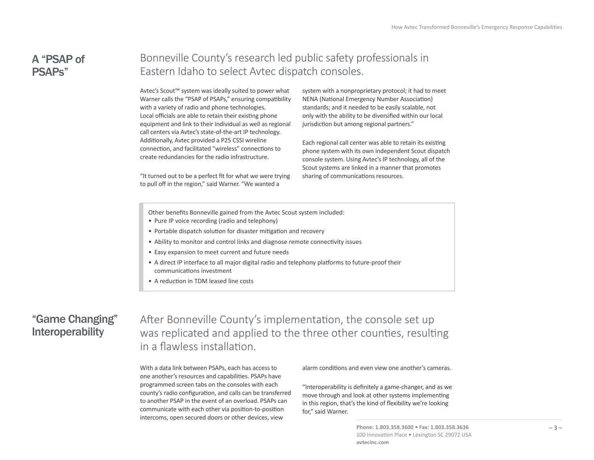## A "PSAP of PSAPs"

## Bonneville County's research led public safety professionals in Eastern Idaho to select Avtec dispatch consoles.

Avtec's Scout™ system was ideally suited to power what Warner calls the "PSAP of PSAPs," ensuring compatibility with a variety of radio and phone technologies. Local officials are able to retain their existing phone equipment and link to their individual as well as regional call centers via Avtec's state-of-the-art IP technology. Additionally, Avtec provided a P25 CSSI wireline connection, and facilitated "wireless" connections to create redundancies for the radio infrastructure.

"It turned out to be a perfect fit for what we were trying to pull off in the region," said Warner. "We wanted a

system with a nonproprietary protocol; it had to meet NENA (National Emergency Number Association) standards; and it needed to be easily scalable, not only with the ability to be diversified within our local jurisdiction but among regional partners."

Each regional call center was able to retain its existing phone system with its own independent Scout dispatch console system. Using Avtec's IP technology, all of the Scout systems are linked in a manner that promotes sharing of communications resources.

Other benefits Bonneville gained from the Avtec Scout system included:

- Pure IP voice recording (radio and telephony)
- Portable dispatch solution for disaster mitigation and recovery
- Ability to monitor and control links and diagnose remote connectivity issues
- Easy expansion to meet current and future needs
- A direct IP interface to all major digital radio and telephony platforms to future-proof their communications investment
- A reduction in TDM leased line costs

### "Game Changing" Interoperability

After Bonneville County's implementation, the console set up was replicated and applied to the three other counties, resulting in a flawless installation.

With a data link between PSAPs, each has access to one another's resources and capabilities. PSAPs have programmed screen tabs on the consoles with each county's radio configuration, and calls can be transferred to another PSAP in the event of an overload. PSAPs can communicate with each other via position-to-position intercoms, open secured doors or other devices, view

alarm conditions and even view one another's cameras.

"Interoperability is definitely a game-changer, and as we move through and look at other systems implementing in this region, that's the kind of flexibility we're looking for," said Warner.

> **Phone: 1.803.358.3600 • Fax: 1.803.358.3636** 100 Innovation Place **•** Lexington SC 29072 USA **avtecinc.com**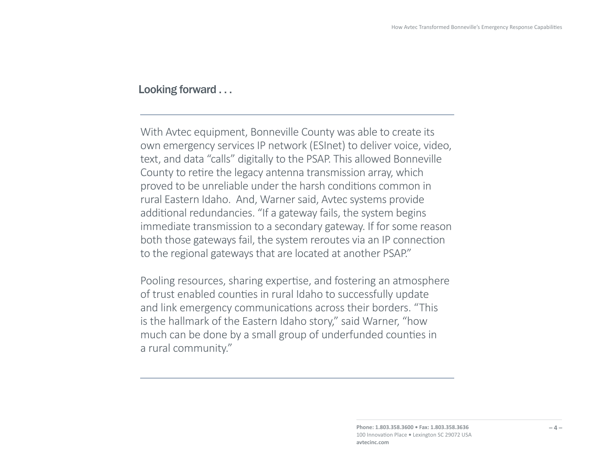#### Looking forward . . .

With Avtec equipment, Bonneville County was able to create its own emergency services IP network (ESInet) to deliver voice, video, text, and data "calls" digitally to the PSAP. This allowed Bonneville County to retire the legacy antenna transmission array, which proved to be unreliable under the harsh conditions common in rural Eastern Idaho. And, Warner said, Avtec systems provide additional redundancies. "If a gateway fails, the system begins immediate transmission to a secondary gateway. If for some reason both those gateways fail, the system reroutes via an IP connection to the regional gateways that are located at another PSAP."

Pooling resources, sharing expertise, and fostering an atmosphere of trust enabled counties in rural Idaho to successfully update and link emergency communications across their borders. "This is the hallmark of the Eastern Idaho story," said Warner, "how much can be done by a small group of underfunded counties in a rural community."